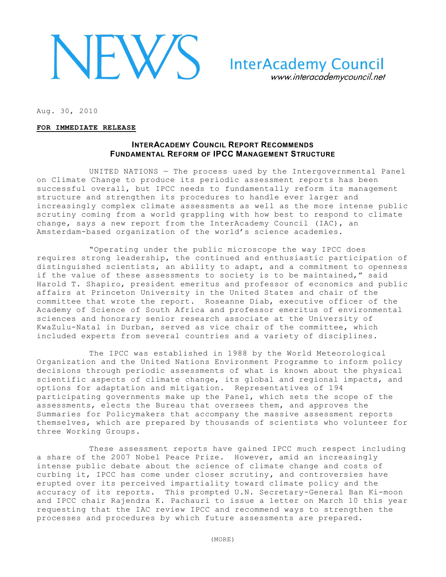

**InterAcademy Council** www.interacademycouncil.net

Aug. 30, 2010

#### **FOR IMMEDIATE RELEASE**

# **INTERACADEMY COUNCIL REPORT RECOMMENDS FUNDAMENTAL REFORM OF IPCC MANAGEMENT STRUCTURE**

UNITED NATIONS — The process used by the Intergovernmental Panel on Climate Change to produce its periodic assessment reports has been successful overall, but IPCC needs to fundamentally reform its management structure and strengthen its procedures to handle ever larger and increasingly complex climate assessments as well as the more intense public scrutiny coming from a world grappling with how best to respond to climate change, says a new report from the InterAcademy Council (IAC), an Amsterdam-based organization of the world's science academies.

"Operating under the public microscope the way IPCC does requires strong leadership, the continued and enthusiastic participation of distinguished scientists, an ability to adapt, and a commitment to openness if the value of these assessments to society is to be maintained," said Harold T. Shapiro, president emeritus and professor of economics and public affairs at Princeton University in the United States and chair of the committee that wrote the report. Roseanne Diab, executive officer of the Academy of Science of South Africa and professor emeritus of environmental sciences and honorary senior research associate at the University of KwaZulu-Natal in Durban, served as vice chair of the committee, which included experts from several countries and a variety of disciplines.

The IPCC was established in 1988 by the World Meteorological Organization and the United Nations Environment Programme to inform policy decisions through periodic assessments of what is known about the physical scientific aspects of climate change, its global and regional impacts, and options for adaptation and mitigation. Representatives of 194 participating governments make up the Panel, which sets the scope of the assessments, elects the Bureau that oversees them, and approves the Summaries for Policymakers that accompany the massive assessment reports themselves, which are prepared by thousands of scientists who volunteer for three Working Groups.

These assessment reports have gained IPCC much respect including a share of the 2007 Nobel Peace Prize. However, amid an increasingly intense public debate about the science of climate change and costs of curbing it, IPCC has come under closer scrutiny, and controversies have erupted over its perceived impartiality toward climate policy and the accuracy of its reports. This prompted U.N. Secretary-General Ban Ki-moon and IPCC chair Rajendra K. Pachauri to issue a letter on March 10 this year requesting that the IAC review IPCC and recommend ways to strengthen the processes and procedures by which future assessments are prepared.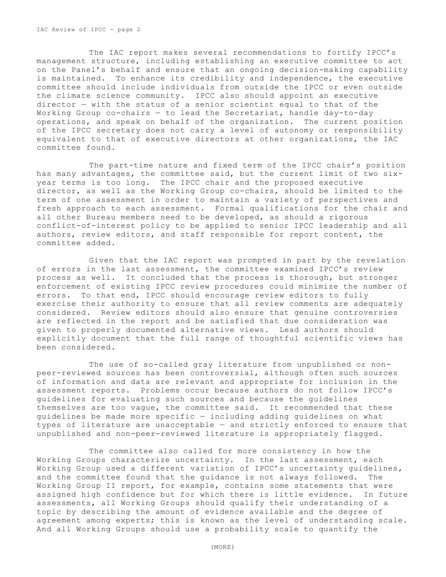IAC Review of IPCC - page 2

The IAC report makes several recommendations to fortify IPCC's management structure, including establishing an executive committee to act on the Panel's behalf and ensure that an ongoing decision-making capability is maintained. To enhance its credibility and independence, the executive committee should include individuals from outside the IPCC or even outside the climate science community. IPCC also should appoint an executive director — with the status of a senior scientist equal to that of the Working Group co-chairs  $-$  to lead the Secretariat, handle day-to-day operations, and speak on behalf of the organization. The current position of the IPCC secretary does not carry a level of autonomy or responsibility equivalent to that of executive directors at other organizations, the IAC committee found.

The part-time nature and fixed term of the IPCC chair's position has many advantages, the committee said, but the current limit of two sixyear terms is too long. The IPCC chair and the proposed executive director, as well as the Working Group co-chairs, should be limited to the term of one assessment in order to maintain a variety of perspectives and fresh approach to each assessment. Formal qualifications for the chair and all other Bureau members need to be developed, as should a rigorous conflict-of-interest policy to be applied to senior IPCC leadership and all authors, review editors, and staff responsible for report content, the committee added.

Given that the IAC report was prompted in part by the revelation of errors in the last assessment, the committee examined IPCC's review process as well. It concluded that the process is thorough, but stronger enforcement of existing IPCC review procedures could minimize the number of errors. To that end, IPCC should encourage review editors to fully exercise their authority to ensure that all review comments are adequately considered. Review editors should also ensure that genuine controversies are reflected in the report and be satisfied that due consideration was given to properly documented alternative views. Lead authors should explicitly document that the full range of thoughtful scientific views has been considered.

The use of so-called gray literature from unpublished or nonpeer-reviewed sources has been controversial, although often such sources of information and data are relevant and appropriate for inclusion in the assessment reports. Problems occur because authors do not follow IPCC's guidelines for evaluating such sources and because the guidelines themselves are too vague, the committee said. It recommended that these guidelines be made more specific — including adding guidelines on what types of literature are unacceptable — and strictly enforced to ensure that unpublished and non-peer-reviewed literature is appropriately flagged.

The committee also called for more consistency in how the Working Groups characterize uncertainty. In the last assessment, each Working Group used a different variation of IPCC's uncertainty quidelines, and the committee found that the guidance is not always followed. The Working Group II report, for example, contains some statements that were assigned high confidence but for which there is little evidence. In future assessments, all Working Groups should qualify their understanding of a topic by describing the amount of evidence available and the degree of agreement among experts; this is known as the level of understanding scale. And all Working Groups should use a probability scale to quantify the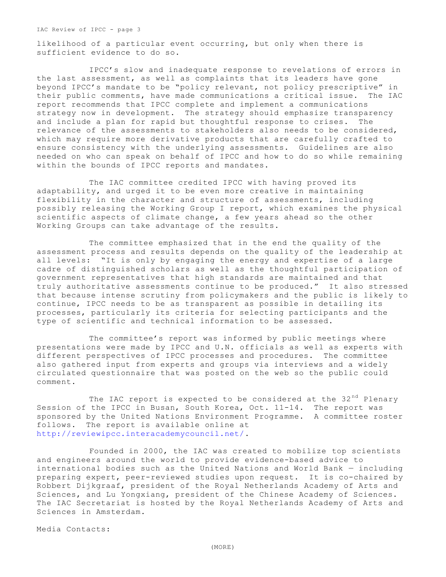IAC Review of IPCC - page 3

likelihood of a particular event occurring, but only when there is sufficient evidence to do so.

IPCC's slow and inadequate response to revelations of errors in the last assessment, as well as complaints that its leaders have gone beyond IPCC's mandate to be "policy relevant, not policy prescriptive" in their public comments, have made communications a critical issue. The IAC report recommends that IPCC complete and implement a communications strategy now in development. The strategy should emphasize transparency and include a plan for rapid but thoughtful response to crises. The relevance of the assessments to stakeholders also needs to be considered, which may require more derivative products that are carefully crafted to ensure consistency with the underlying assessments. Guidelines are also needed on who can speak on behalf of IPCC and how to do so while remaining within the bounds of IPCC reports and mandates.

The IAC committee credited IPCC with having proved its adaptability, and urged it to be even more creative in maintaining flexibility in the character and structure of assessments, including possibly releasing the Working Group I report, which examines the physical scientific aspects of climate change, a few years ahead so the other Working Groups can take advantage of the results.

The committee emphasized that in the end the quality of the assessment process and results depends on the quality of the leadership at all levels: "It is only by engaging the energy and expertise of a large cadre of distinguished scholars as well as the thoughtful participation of government representatives that high standards are maintained and that truly authoritative assessments continue to be produced." It also stressed that because intense scrutiny from policymakers and the public is likely to continue, IPCC needs to be as transparent as possible in detailing its processes, particularly its criteria for selecting participants and the type of scientific and technical information to be assessed.

The committee's report was informed by public meetings where presentations were made by IPCC and U.N. officials as well as experts with different perspectives of IPCC processes and procedures. The committee also gathered input from experts and groups via interviews and a widely circulated questionnaire that was posted on the web so the public could comment.

The IAC report is expected to be considered at the  $32<sup>nd</sup>$  Plenary Session of the IPCC in Busan, South Korea, Oct. 11-14. The report was sponsored by the United Nations Environment Programme. A committee roster follows. The report is available online at [http://reviewipcc.interacademycouncil.net/.](http://reviewipcc.interacademycouncil.net/)

Founded in 2000, the IAC was created to mobilize top scientists and engineers around the world to provide evidence-based advice to international bodies such as the United Nations and World Bank — including preparing expert, peer-reviewed studies upon request. It is co-chaired by Robbert Dijkgraaf, president of the Royal Netherlands Academy of Arts and Sciences, and Lu Yongxiang, president of the Chinese Academy of Sciences. The IAC Secretariat is hosted by the Royal Netherlands Academy of Arts and Sciences in Amsterdam.

Media Contacts: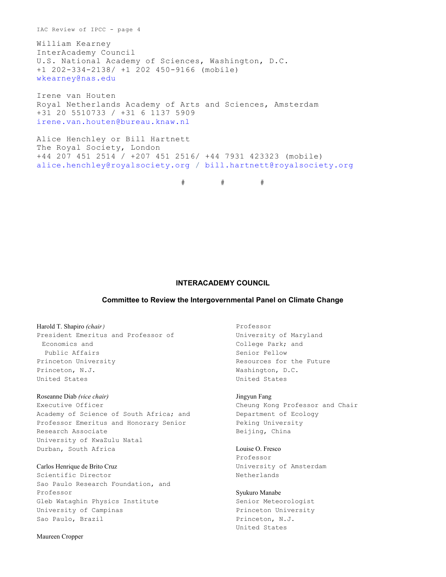IAC Review of IPCC - page 4

William Kearney InterAcademy Council U.S. National Academy of Sciences, Washington, D.C. +1 202-334-2138/ +1 202 450-9166 (mobile) [wkearney@nas.edu](mailto:wkearney@nas.edu)

Irene van Houten Royal Netherlands Academy of Arts and Sciences, Amsterdam +31 20 5510733 / +31 6 1137 5909 [irene.van.houten@bureau.knaw.nl](mailto:irene.van.houten@bureau.knaw.nl)

```
Alice Henchley or Bill Hartnett
The Royal Society, London
+44 207 451 2514 / +207 451 2516/ +44 7931 423323 (mobile)
alice.henchley@royalsociety.org / bill.hartnett@royalsociety.org
```
 $\#$   $\#$   $\#$ 

### **INTERACADEMY COUNCIL**

#### **Committee to Review the Intergovernmental Panel on Climate Change**

Harold T. Shapiro *(chair)* President Emeritus and Professor of Economics and Public Affairs Princeton University Princeton, N.J. United States

Roseanne Diab *(vice chair)* Executive Officer Academy of Science of South Africa; and Professor Emeritus and Honorary Senior Research Associate University of KwaZulu Natal Durban, South Africa

Carlos Henrique de Brito Cruz Scientific Director Sao Paulo Research Foundation, and Professor Gleb Wataghin Physics Institute University of Campinas Sao Paulo, Brazil

Professor University of Maryland College Park; and Senior Fellow Resources for the Future Washington, D.C. United States

Jingyun Fang Cheung Kong Professor and Chair Department of Ecology Peking University Beijing, China

Louise O. Fresco Professor University of Amsterdam Netherlands

Syukuro Manabe Senior Meteorologist Princeton University Princeton, N.J. United States

Maureen Cropper